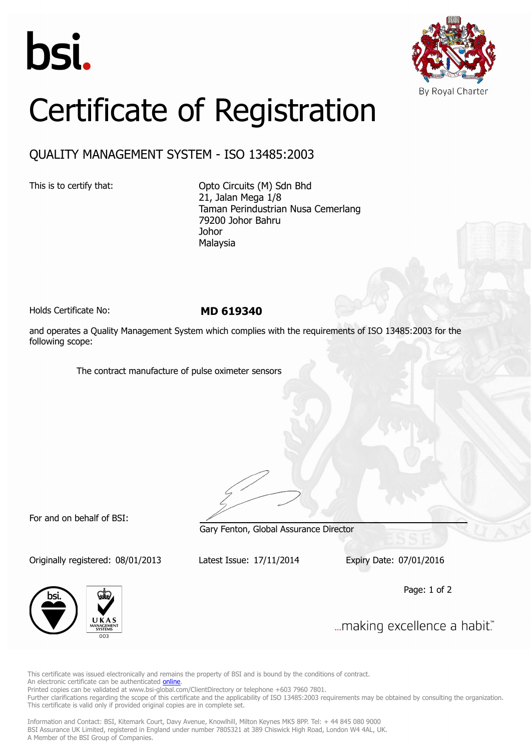



## Certificate of Registration

## QUALITY MANAGEMENT SYSTEM - ISO 13485:2003

This is to certify that: Opto Circuits (M) Sdn Bhd 21, Jalan Mega 1/8 Taman Perindustrian Nusa Cemerlang 79200 Johor Bahru Johor Malaysia

Holds Certificate No: **MD 619340**

and operates a Quality Management System which complies with the requirements of ISO 13485:2003 for the following scope:

The contract manufacture of pulse oximeter sensors

For and on behalf of BSI:

Originally registered: 08/01/2013 Latest Issue: 17/11/2014 Expiry Date: 07/01/2016

Gary Fenton, Global Assurance Director

Page: 1 of 2



... making excellence a habit."

This certificate was issued electronically and remains the property of BSI and is bound by the conditions of contract. An electronic certificate can be authenticated **[online](https://pgplus.bsigroup.com/CertificateValidation/CertificateValidator.aspx?CertificateNumber=MD+619340&ReIssueDate=17%2f11%2f2014&Template=malaysia_en)** 

Printed copies can be validated at www.bsi-global.com/ClientDirectory or telephone +603 7960 7801.

Further clarifications regarding the scope of this certificate and the applicability of ISO 13485:2003 requirements may be obtained by consulting the organization. This certificate is valid only if provided original copies are in complete set.

Information and Contact: BSI, Kitemark Court, Davy Avenue, Knowlhill, Milton Keynes MK5 8PP. Tel: + 44 845 080 9000 BSI Assurance UK Limited, registered in England under number 7805321 at 389 Chiswick High Road, London W4 4AL, UK. A Member of the BSI Group of Companies.